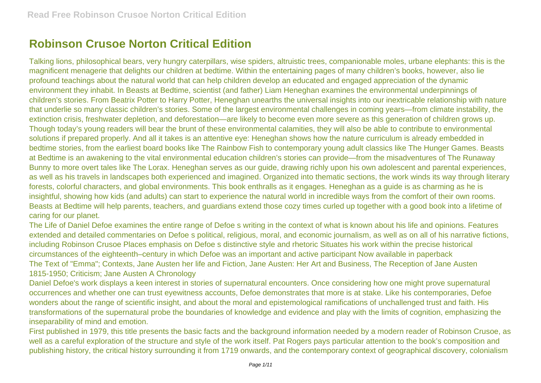## **Robinson Crusoe Norton Critical Edition**

Talking lions, philosophical bears, very hungry caterpillars, wise spiders, altruistic trees, companionable moles, urbane elephants: this is the magnificent menagerie that delights our children at bedtime. Within the entertaining pages of many children's books, however, also lie profound teachings about the natural world that can help children develop an educated and engaged appreciation of the dynamic environment they inhabit. In Beasts at Bedtime, scientist (and father) Liam Heneghan examines the environmental underpinnings of children's stories. From Beatrix Potter to Harry Potter, Heneghan unearths the universal insights into our inextricable relationship with nature that underlie so many classic children's stories. Some of the largest environmental challenges in coming years—from climate instability, the extinction crisis, freshwater depletion, and deforestation—are likely to become even more severe as this generation of children grows up. Though today's young readers will bear the brunt of these environmental calamities, they will also be able to contribute to environmental solutions if prepared properly. And all it takes is an attentive eye: Heneghan shows how the nature curriculum is already embedded in bedtime stories, from the earliest board books like The Rainbow Fish to contemporary young adult classics like The Hunger Games. Beasts at Bedtime is an awakening to the vital environmental education children's stories can provide—from the misadventures of The Runaway Bunny to more overt tales like The Lorax. Heneghan serves as our guide, drawing richly upon his own adolescent and parental experiences, as well as his travels in landscapes both experienced and imagined. Organized into thematic sections, the work winds its way through literary forests, colorful characters, and global environments. This book enthralls as it engages. Heneghan as a guide is as charming as he is insightful, showing how kids (and adults) can start to experience the natural world in incredible ways from the comfort of their own rooms. Beasts at Bedtime will help parents, teachers, and guardians extend those cozy times curled up together with a good book into a lifetime of caring for our planet.

The Life of Daniel Defoe examines the entire range of Defoe s writing in the context of what is known about his life and opinions. Features extended and detailed commentaries on Defoe s political, religious, moral, and economic journalism, as well as on all of his narrative fictions, including Robinson Crusoe Places emphasis on Defoe s distinctive style and rhetoric Situates his work within the precise historical circumstances of the eighteenth–century in which Defoe was an important and active participant Now available in paperback The Text of "Emma"; Contexts, Jane Austen her life and Fiction, Jane Austen: Her Art and Business, The Reception of Jane Austen 1815-1950; Criticism; Jane Austen A Chronology

Daniel Defoe's work displays a keen interest in stories of supernatural encounters. Once considering how one might prove supernatural occurrences and whether one can trust eyewitness accounts, Defoe demonstrates that more is at stake. Like his contemporaries, Defoe wonders about the range of scientific insight, and about the moral and epistemological ramifications of unchallenged trust and faith. His transformations of the supernatural probe the boundaries of knowledge and evidence and play with the limits of cognition, emphasizing the inseparability of mind and emotion.

First published in 1979, this title presents the basic facts and the background information needed by a modern reader of Robinson Crusoe, as well as a careful exploration of the structure and style of the work itself. Pat Rogers pays particular attention to the book's composition and publishing history, the critical history surrounding it from 1719 onwards, and the contemporary context of geographical discovery, colonialism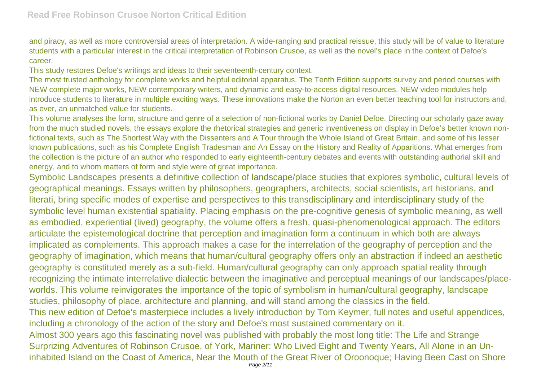and piracy, as well as more controversial areas of interpretation. A wide-ranging and practical reissue, this study will be of value to literature students with a particular interest in the critical interpretation of Robinson Crusoe, as well as the novel's place in the context of Defoe's career.

This study restores Defoe's writings and ideas to their seventeenth-century context.

The most trusted anthology for complete works and helpful editorial apparatus. The Tenth Edition supports survey and period courses with NEW complete major works, NEW contemporary writers, and dynamic and easy-to-access digital resources. NEW video modules help introduce students to literature in multiple exciting ways. These innovations make the Norton an even better teaching tool for instructors and, as ever, an unmatched value for students.

This volume analyses the form, structure and genre of a selection of non-fictional works by Daniel Defoe. Directing our scholarly gaze away from the much studied novels, the essays explore the rhetorical strategies and generic inventiveness on display in Defoe's better known nonfictional texts, such as The Shortest Way with the Dissenters and A Tour through the Whole Island of Great Britain, and some of his lesser known publications, such as his Complete English Tradesman and An Essay on the History and Reality of Apparitions. What emerges from the collection is the picture of an author who responded to early eighteenth-century debates and events with outstanding authorial skill and energy, and to whom matters of form and style were of great importance.

Symbolic Landscapes presents a definitive collection of landscape/place studies that explores symbolic, cultural levels of geographical meanings. Essays written by philosophers, geographers, architects, social scientists, art historians, and literati, bring specific modes of expertise and perspectives to this transdisciplinary and interdisciplinary study of the symbolic level human existential spatiality. Placing emphasis on the pre-cognitive genesis of symbolic meaning, as well as embodied, experiential (lived) geography, the volume offers a fresh, quasi-phenomenological approach. The editors articulate the epistemological doctrine that perception and imagination form a continuum in which both are always implicated as complements. This approach makes a case for the interrelation of the geography of perception and the geography of imagination, which means that human/cultural geography offers only an abstraction if indeed an aesthetic geography is constituted merely as a sub-field. Human/cultural geography can only approach spatial reality through recognizing the intimate interrelative dialectic between the imaginative and perceptual meanings of our landscapes/placeworlds. This volume reinvigorates the importance of the topic of symbolism in human/cultural geography, landscape studies, philosophy of place, architecture and planning, and will stand among the classics in the field. This new edition of Defoe's masterpiece includes a lively introduction by Tom Keymer, full notes and useful appendices, including a chronology of the action of the story and Defoe's most sustained commentary on it. Almost 300 years ago this fascinating novel was published with probably the most long title: The Life and Strange Surprizing Adventures of Robinson Crusoe, of York, Mariner: Who Lived Eight and Twenty Years, All Alone in an Uninhabited Island on the Coast of America, Near the Mouth of the Great River of Oroonoque; Having Been Cast on Shore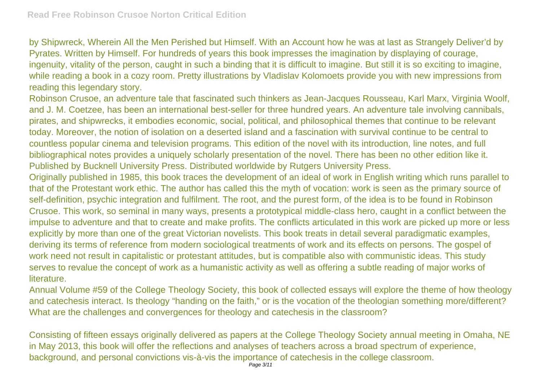by Shipwreck, Wherein All the Men Perished but Himself. With an Account how he was at last as Strangely Deliver'd by Pyrates. Written by Himself. For hundreds of years this book impresses the imagination by displaying of courage, ingenuity, vitality of the person, caught in such a binding that it is difficult to imagine. But still it is so exciting to imagine, while reading a book in a cozy room. Pretty illustrations by Vladislav Kolomoets provide you with new impressions from reading this legendary story.

Robinson Crusoe, an adventure tale that fascinated such thinkers as Jean-Jacques Rousseau, Karl Marx, Virginia Woolf, and J. M. Coetzee, has been an international best-seller for three hundred years. An adventure tale involving cannibals, pirates, and shipwrecks, it embodies economic, social, political, and philosophical themes that continue to be relevant today. Moreover, the notion of isolation on a deserted island and a fascination with survival continue to be central to countless popular cinema and television programs. This edition of the novel with its introduction, line notes, and full bibliographical notes provides a uniquely scholarly presentation of the novel. There has been no other edition like it. Published by Bucknell University Press. Distributed worldwide by Rutgers University Press.

Originally published in 1985, this book traces the development of an ideal of work in English writing which runs parallel to that of the Protestant work ethic. The author has called this the myth of vocation: work is seen as the primary source of self-definition, psychic integration and fulfilment. The root, and the purest form, of the idea is to be found in Robinson Crusoe. This work, so seminal in many ways, presents a prototypical middle-class hero, caught in a conflict between the impulse to adventure and that to create and make profits. The conflicts articulated in this work are picked up more or less explicitly by more than one of the great Victorian novelists. This book treats in detail several paradigmatic examples, deriving its terms of reference from modern sociological treatments of work and its effects on persons. The gospel of work need not result in capitalistic or protestant attitudes, but is compatible also with communistic ideas. This study serves to revalue the concept of work as a humanistic activity as well as offering a subtle reading of major works of literature.

Annual Volume #59 of the College Theology Society, this book of collected essays will explore the theme of how theology and catechesis interact. Is theology "handing on the faith," or is the vocation of the theologian something more/different? What are the challenges and convergences for theology and catechesis in the classroom?

Consisting of fifteen essays originally delivered as papers at the College Theology Society annual meeting in Omaha, NE in May 2013, this book will offer the reflections and analyses of teachers across a broad spectrum of experience, background, and personal convictions vis-à-vis the importance of catechesis in the college classroom.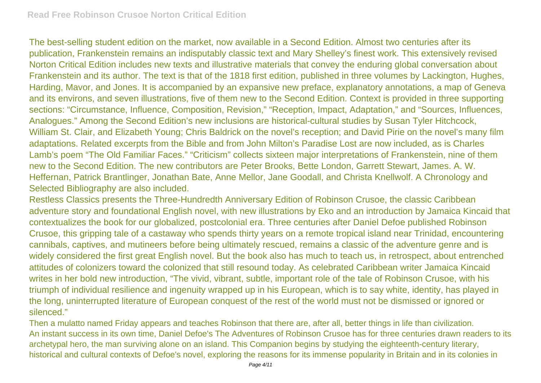The best-selling student edition on the market, now available in a Second Edition. Almost two centuries after its publication, Frankenstein remains an indisputably classic text and Mary Shelley's finest work. This extensively revised Norton Critical Edition includes new texts and illustrative materials that convey the enduring global conversation about Frankenstein and its author. The text is that of the 1818 first edition, published in three volumes by Lackington, Hughes, Harding, Mavor, and Jones. It is accompanied by an expansive new preface, explanatory annotations, a map of Geneva and its environs, and seven illustrations, five of them new to the Second Edition. Context is provided in three supporting sections: "Circumstance, Influence, Composition, Revision," "Reception, Impact, Adaptation," and "Sources, Influences, Analogues." Among the Second Edition's new inclusions are historical-cultural studies by Susan Tyler Hitchcock, William St. Clair, and Elizabeth Young; Chris Baldrick on the novel's reception; and David Pirie on the novel's many film adaptations. Related excerpts from the Bible and from John Milton's Paradise Lost are now included, as is Charles Lamb's poem "The Old Familiar Faces." "Criticism" collects sixteen major interpretations of Frankenstein, nine of them new to the Second Edition. The new contributors are Peter Brooks, Bette London, Garrett Stewart, James. A. W. Heffernan, Patrick Brantlinger, Jonathan Bate, Anne Mellor, Jane Goodall, and Christa Knellwolf. A Chronology and Selected Bibliography are also included.

Restless Classics presents the Three-Hundredth Anniversary Edition of Robinson Crusoe, the classic Caribbean adventure story and foundational English novel, with new illustrations by Eko and an introduction by Jamaica Kincaid that contextualizes the book for our globalized, postcolonial era. Three centuries after Daniel Defoe published Robinson Crusoe, this gripping tale of a castaway who spends thirty years on a remote tropical island near Trinidad, encountering cannibals, captives, and mutineers before being ultimately rescued, remains a classic of the adventure genre and is widely considered the first great English novel. But the book also has much to teach us, in retrospect, about entrenched attitudes of colonizers toward the colonized that still resound today. As celebrated Caribbean writer Jamaica Kincaid writes in her bold new introduction, "The vivid, vibrant, subtle, important role of the tale of Robinson Crusoe, with his triumph of individual resilience and ingenuity wrapped up in his European, which is to say white, identity, has played in the long, uninterrupted literature of European conquest of the rest of the world must not be dismissed or ignored or silenced."

Then a mulatto named Friday appears and teaches Robinson that there are, after all, better things in life than civilization. An instant success in its own time, Daniel Defoe's The Adventures of Robinson Crusoe has for three centuries drawn readers to its archetypal hero, the man surviving alone on an island. This Companion begins by studying the eighteenth-century literary, historical and cultural contexts of Defoe's novel, exploring the reasons for its immense popularity in Britain and in its colonies in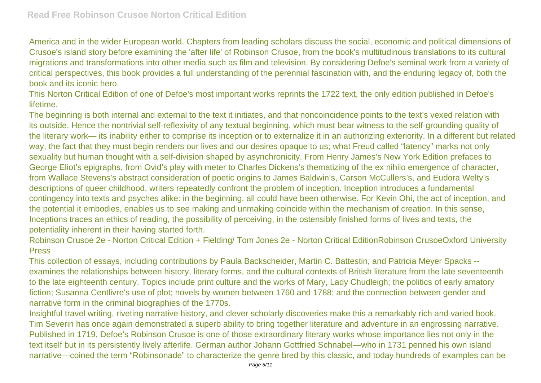America and in the wider European world. Chapters from leading scholars discuss the social, economic and political dimensions of Crusoe's island story before examining the 'after life' of Robinson Crusoe, from the book's multitudinous translations to its cultural migrations and transformations into other media such as film and television. By considering Defoe's seminal work from a variety of critical perspectives, this book provides a full understanding of the perennial fascination with, and the enduring legacy of, both the book and its iconic hero.

This Norton Critical Edition of one of Defoe's most important works reprints the 1722 text, the only edition published in Defoe's lifetime.

The beginning is both internal and external to the text it initiates, and that noncoincidence points to the text's vexed relation with its outside. Hence the nontrivial self-reflexivity of any textual beginning, which must bear witness to the self-grounding quality of the literary work— its inability either to comprise its inception or to externalize it in an authorizing exteriority. In a different but related way, the fact that they must begin renders our lives and our desires opaque to us; what Freud called "latency" marks not only sexuality but human thought with a self-division shaped by asynchronicity. From Henry James's New York Edition prefaces to George Eliot's epigraphs, from Ovid's play with meter to Charles Dickens's thematizing of the ex nihilo emergence of character, from Wallace Stevens's abstract consideration of poetic origins to James Baldwin's, Carson McCullers's, and Eudora Welty's descriptions of queer childhood, writers repeatedly confront the problem of inception. Inception introduces a fundamental contingency into texts and psyches alike: in the beginning, all could have been otherwise. For Kevin Ohi, the act of inception, and the potential it embodies, enables us to see making and unmaking coincide within the mechanism of creation. In this sense, Inceptions traces an ethics of reading, the possibility of perceiving, in the ostensibly finished forms of lives and texts, the potentiality inherent in their having started forth.

Robinson Crusoe 2e - Norton Critical Edition + Fielding/ Tom Jones 2e - Norton Critical EditionRobinson CrusoeOxford University Press

This collection of essays, including contributions by Paula Backscheider, Martin C. Battestin, and Patricia Meyer Spacks - examines the relationships between history, literary forms, and the cultural contexts of British literature from the late seventeenth to the late eighteenth century. Topics include print culture and the works of Mary, Lady Chudleigh; the politics of early amatory fiction; Susanna Centlivre's use of plot; novels by women between 1760 and 1788; and the connection between gender and narrative form in the criminal biographies of the 1770s.

Insightful travel writing, riveting narrative history, and clever scholarly discoveries make this a remarkably rich and varied book. Tim Severin has once again demonstrated a superb ability to bring together literature and adventure in an engrossing narrative. Published in 1719, Defoe's Robinson Crusoe is one of those extraordinary literary works whose importance lies not only in the text itself but in its persistently lively afterlife. German author Johann Gottfried Schnabel—who in 1731 penned his own island narrative—coined the term "Robinsonade" to characterize the genre bred by this classic, and today hundreds of examples can be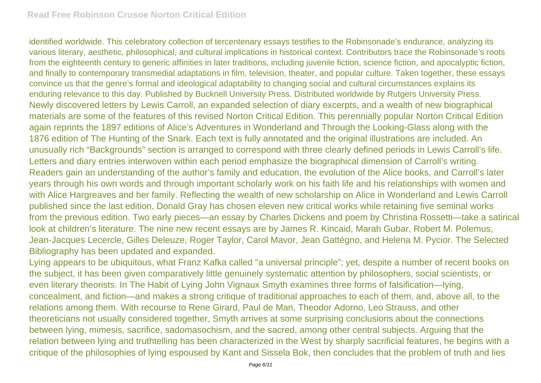identified worldwide. This celebratory collection of tercentenary essays testifies to the Robinsonade's endurance, analyzing its various literary, aesthetic, philosophical, and cultural implications in historical context. Contributors trace the Robinsonade's roots from the eighteenth century to generic affinities in later traditions, including juvenile fiction, science fiction, and apocalyptic fiction, and finally to contemporary transmedial adaptations in film, television, theater, and popular culture. Taken together, these essays convince us that the genre's formal and ideological adaptability to changing social and cultural circumstances explains its enduring relevance to this day. Published by Bucknell University Press. Distributed worldwide by Rutgers University Press. Newly discovered letters by Lewis Carroll, an expanded selection of diary excerpts, and a wealth of new biographical materials are some of the features of this revised Norton Critical Edition. This perennially popular Norton Critical Edition again reprints the 1897 editions of Alice's Adventures in Wonderland and Through the Looking-Glass along with the 1876 edition of The Hunting of the Snark. Each text is fully annotated and the original illustrations are included. An unusually rich "Backgrounds" section is arranged to correspond with three clearly defined periods in Lewis Carroll's life. Letters and diary entries interwoven within each period emphasize the biographical dimension of Carroll's writing. Readers gain an understanding of the author's family and education, the evolution of the Alice books, and Carroll's later years through his own words and through important scholarly work on his faith life and his relationships with women and with Alice Hargreaves and her family. Reflecting the wealth of new scholarship on Alice in Wonderland and Lewis Carroll published since the last edition, Donald Gray has chosen eleven new critical works while retaining five seminal works from the previous edition. Two early pieces—an essay by Charles Dickens and poem by Christina Rossetti—take a satirical look at children's literature. The nine new recent essays are by James R. Kincaid, Marah Gubar, Robert M. Polemus, Jean-Jacques Lecercle, Gilles Deleuze, Roger Taylor, Carol Mavor, Jean Gattégno, and Helena M. Pycior. The Selected Bibliography has been updated and expanded.

Lying appears to be ubiquitous, what Franz Kafka called "a universal principle"; yet, despite a number of recent books on the subject, it has been given comparatively little genuinely systematic attention by philosophers, social scientists, or even literary theorists. In The Habit of Lying John Vignaux Smyth examines three forms of falsification—lying, concealment, and fiction—and makes a strong critique of traditional approaches to each of them, and, above all, to the relations among them. With recourse to Rene Girard, Paul de Man, Theodor Adorno, Leo Strauss, and other theoreticians not usually considered together, Smyth arrives at some surprising conclusions about the connections between lying, mimesis, sacrifice, sadomasochism, and the sacred, among other central subjects. Arguing that the relation between lying and truthtelling has been characterized in the West by sharply sacrificial features, he begins with a critique of the philosophies of lying espoused by Kant and Sissela Bok, then concludes that the problem of truth and lies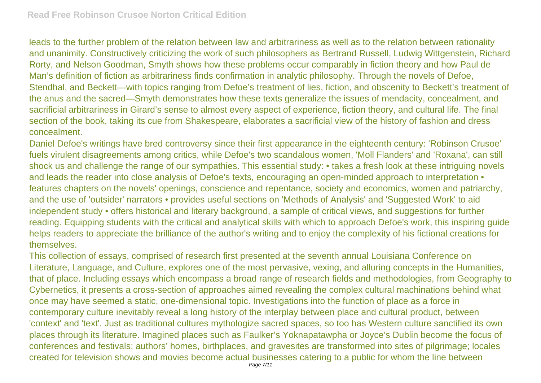leads to the further problem of the relation between law and arbitrariness as well as to the relation between rationality and unanimity. Constructively criticizing the work of such philosophers as Bertrand Russell, Ludwig Wittgenstein, Richard Rorty, and Nelson Goodman, Smyth shows how these problems occur comparably in fiction theory and how Paul de Man's definition of fiction as arbitrariness finds confirmation in analytic philosophy. Through the novels of Defoe, Stendhal, and Beckett—with topics ranging from Defoe's treatment of lies, fiction, and obscenity to Beckett's treatment of the anus and the sacred—Smyth demonstrates how these texts generalize the issues of mendacity, concealment, and sacrificial arbitrariness in Girard's sense to almost every aspect of experience, fiction theory, and cultural life. The final section of the book, taking its cue from Shakespeare, elaborates a sacrificial view of the history of fashion and dress concealment.

Daniel Defoe's writings have bred controversy since their first appearance in the eighteenth century: 'Robinson Crusoe' fuels virulent disagreements among critics, while Defoe's two scandalous women, 'Moll Flanders' and 'Roxana', can still shock us and challenge the range of our sympathies. This essential study: • takes a fresh look at these intriguing novels and leads the reader into close analysis of Defoe's texts, encouraging an open-minded approach to interpretation  $\bullet$ features chapters on the novels' openings, conscience and repentance, society and economics, women and patriarchy, and the use of 'outsider' narrators • provides useful sections on 'Methods of Analysis' and 'Suggested Work' to aid independent study • offers historical and literary background, a sample of critical views, and suggestions for further reading. Equipping students with the critical and analytical skills with which to approach Defoe's work, this inspiring guide helps readers to appreciate the brilliance of the author's writing and to enjoy the complexity of his fictional creations for themselves.

This collection of essays, comprised of research first presented at the seventh annual Louisiana Conference on Literature, Language, and Culture, explores one of the most pervasive, vexing, and alluring concepts in the Humanities, that of place. Including essays which encompass a broad range of research fields and methodologies, from Geography to Cybernetics, it presents a cross-section of approaches aimed revealing the complex cultural machinations behind what once may have seemed a static, one-dimensional topic. Investigations into the function of place as a force in contemporary culture inevitably reveal a long history of the interplay between place and cultural product, between 'context' and 'text'. Just as traditional cultures mythologize sacred spaces, so too has Western culture sanctified its own places through its literature. Imagined places such as Faulker's Yoknapatawpha or Joyce's Dublin become the focus of conferences and festivals; authors' homes, birthplaces, and gravesites are transformed into sites of pilgrimage; locales created for television shows and movies become actual businesses catering to a public for whom the line between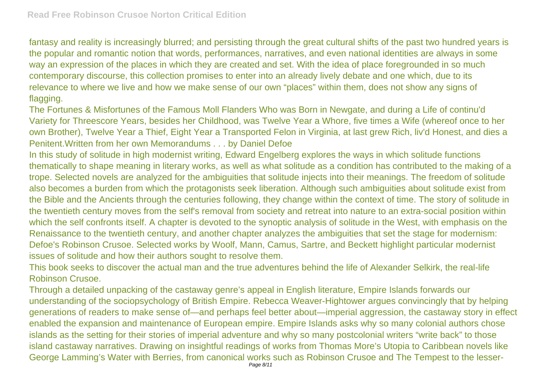fantasy and reality is increasingly blurred; and persisting through the great cultural shifts of the past two hundred years is the popular and romantic notion that words, performances, narratives, and even national identities are always in some way an expression of the places in which they are created and set. With the idea of place foregrounded in so much contemporary discourse, this collection promises to enter into an already lively debate and one which, due to its relevance to where we live and how we make sense of our own "places" within them, does not show any signs of flagging.

The Fortunes & Misfortunes of the Famous Moll Flanders Who was Born in Newgate, and during a Life of continu'd Variety for Threescore Years, besides her Childhood, was Twelve Year a Whore, five times a Wife (whereof once to her own Brother), Twelve Year a Thief, Eight Year a Transported Felon in Virginia, at last grew Rich, liv'd Honest, and dies a Penitent.Written from her own Memorandums . . . by Daniel Defoe

In this study of solitude in high modernist writing, Edward Engelberg explores the ways in which solitude functions thematically to shape meaning in literary works, as well as what solitude as a condition has contributed to the making of a trope. Selected novels are analyzed for the ambiguities that solitude injects into their meanings. The freedom of solitude also becomes a burden from which the protagonists seek liberation. Although such ambiguities about solitude exist from the Bible and the Ancients through the centuries following, they change within the context of time. The story of solitude in the twentieth century moves from the self's removal from society and retreat into nature to an extra-social position within which the self confronts itself. A chapter is devoted to the synoptic analysis of solitude in the West, with emphasis on the Renaissance to the twentieth century, and another chapter analyzes the ambiguities that set the stage for modernism: Defoe's Robinson Crusoe. Selected works by Woolf, Mann, Camus, Sartre, and Beckett highlight particular modernist issues of solitude and how their authors sought to resolve them.

This book seeks to discover the actual man and the true adventures behind the life of Alexander Selkirk, the real-life Robinson Crusoe.

Through a detailed unpacking of the castaway genre's appeal in English literature, Empire Islands forwards our understanding of the sociopsychology of British Empire. Rebecca Weaver-Hightower argues convincingly that by helping generations of readers to make sense of—and perhaps feel better about—imperial aggression, the castaway story in effect enabled the expansion and maintenance of European empire. Empire Islands asks why so many colonial authors chose islands as the setting for their stories of imperial adventure and why so many postcolonial writers "write back" to those island castaway narratives. Drawing on insightful readings of works from Thomas More's Utopia to Caribbean novels like George Lamming's Water with Berries, from canonical works such as Robinson Crusoe and The Tempest to the lesser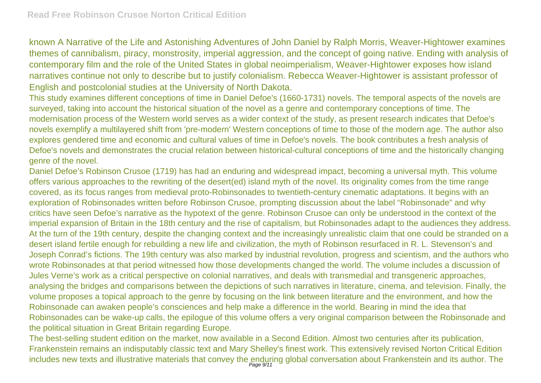known A Narrative of the Life and Astonishing Adventures of John Daniel by Ralph Morris, Weaver-Hightower examines themes of cannibalism, piracy, monstrosity, imperial aggression, and the concept of going native. Ending with analysis of contemporary film and the role of the United States in global neoimperialism, Weaver-Hightower exposes how island narratives continue not only to describe but to justify colonialism. Rebecca Weaver-Hightower is assistant professor of English and postcolonial studies at the University of North Dakota.

This study examines different conceptions of time in Daniel Defoe's (1660-1731) novels. The temporal aspects of the novels are surveyed, taking into account the historical situation of the novel as a genre and contemporary conceptions of time. The modernisation process of the Western world serves as a wider context of the study, as present research indicates that Defoe's novels exemplify a multilayered shift from 'pre-modern' Western conceptions of time to those of the modern age. The author also explores gendered time and economic and cultural values of time in Defoe's novels. The book contributes a fresh analysis of Defoe's novels and demonstrates the crucial relation between historical-cultural conceptions of time and the historically changing genre of the novel.

Daniel Defoe's Robinson Crusoe (1719) has had an enduring and widespread impact, becoming a universal myth. This volume offers various approaches to the rewriting of the desert(ed) island myth of the novel. Its originality comes from the time range covered, as its focus ranges from medieval proto-Robinsonades to twentieth-century cinematic adaptations. It begins with an exploration of Robinsonades written before Robinson Crusoe, prompting discussion about the label "Robinsonade" and why critics have seen Defoe's narrative as the hypotext of the genre. Robinson Crusoe can only be understood in the context of the imperial expansion of Britain in the 18th century and the rise of capitalism, but Robinsonades adapt to the audiences they address. At the turn of the 19th century, despite the changing context and the increasingly unrealistic claim that one could be stranded on a desert island fertile enough for rebuilding a new life and civilization, the myth of Robinson resurfaced in R. L. Stevenson's and Joseph Conrad's fictions. The 19th century was also marked by industrial revolution, progress and scientism, and the authors who wrote Robinsonades at that period witnessed how those developments changed the world. The volume includes a discussion of Jules Verne's work as a critical perspective on colonial narratives, and deals with transmedial and transgeneric approaches, analysing the bridges and comparisons between the depictions of such narratives in literature, cinema, and television. Finally, the volume proposes a topical approach to the genre by focusing on the link between literature and the environment, and how the Robinsonade can awaken people's consciences and help make a difference in the world. Bearing in mind the idea that Robinsonades can be wake-up calls, the epilogue of this volume offers a very original comparison between the Robinsonade and the political situation in Great Britain regarding Europe.

The best-selling student edition on the market, now available in a Second Edition. Almost two centuries after its publication, Frankenstein remains an indisputably classic text and Mary Shelley's finest work. This extensively revised Norton Critical Edition includes new texts and illustrative materials that convey the enduring global conversation about Frankenstein and its author. The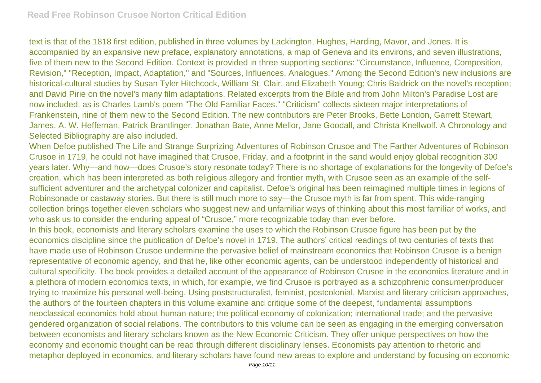text is that of the 1818 first edition, published in three volumes by Lackington, Hughes, Harding, Mavor, and Jones. It is accompanied by an expansive new preface, explanatory annotations, a map of Geneva and its environs, and seven illustrations, five of them new to the Second Edition. Context is provided in three supporting sections: "Circumstance, Influence, Composition, Revision," "Reception, Impact, Adaptation," and "Sources, Influences, Analogues." Among the Second Edition's new inclusions are historical-cultural studies by Susan Tyler Hitchcock, William St. Clair, and Elizabeth Young; Chris Baldrick on the novel's reception; and David Pirie on the novel's many film adaptations. Related excerpts from the Bible and from John Milton's Paradise Lost are now included, as is Charles Lamb's poem "The Old Familiar Faces." "Criticism" collects sixteen major interpretations of Frankenstein, nine of them new to the Second Edition. The new contributors are Peter Brooks, Bette London, Garrett Stewart, James. A. W. Heffernan, Patrick Brantlinger, Jonathan Bate, Anne Mellor, Jane Goodall, and Christa Knellwolf. A Chronology and Selected Bibliography are also included.

When Defoe published The Life and Strange Surprizing Adventures of Robinson Crusoe and The Farther Adventures of Robinson Crusoe in 1719, he could not have imagined that Crusoe, Friday, and a footprint in the sand would enjoy global recognition 300 years later. Why—and how—does Crusoe's story resonate today? There is no shortage of explanations for the longevity of Defoe's creation, which has been interpreted as both religious allegory and frontier myth, with Crusoe seen as an example of the selfsufficient adventurer and the archetypal colonizer and capitalist. Defoe's original has been reimagined multiple times in legions of Robinsonade or castaway stories. But there is still much more to say—the Crusoe myth is far from spent. This wide-ranging collection brings together eleven scholars who suggest new and unfamiliar ways of thinking about this most familiar of works, and who ask us to consider the enduring appeal of "Crusoe," more recognizable today than ever before.

In this book, economists and literary scholars examine the uses to which the Robinson Crusoe figure has been put by the economics discipline since the publication of Defoe's novel in 1719. The authors' critical readings of two centuries of texts that have made use of Robinson Crusoe undermine the pervasive belief of mainstream economics that Robinson Crusoe is a benign representative of economic agency, and that he, like other economic agents, can be understood independently of historical and cultural specificity. The book provides a detailed account of the appearance of Robinson Crusoe in the economics literature and in a plethora of modern economics texts, in which, for example, we find Crusoe is portrayed as a schizophrenic consumer/producer trying to maximize his personal well-being. Using poststructuralist, feminist, postcolonial, Marxist and literary criticism approaches, the authors of the fourteen chapters in this volume examine and critique some of the deepest, fundamental assumptions neoclassical economics hold about human nature; the political economy of colonization; international trade; and the pervasive gendered organization of social relations. The contributors to this volume can be seen as engaging in the emerging conversation between economists and literary scholars known as the New Economic Criticism. They offer unique perspectives on how the economy and economic thought can be read through different disciplinary lenses. Economists pay attention to rhetoric and metaphor deployed in economics, and literary scholars have found new areas to explore and understand by focusing on economic